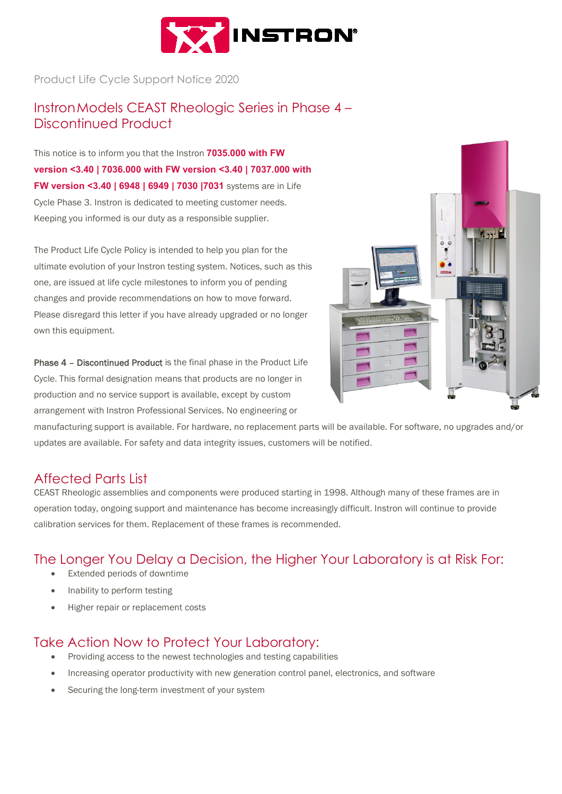

Product Life Cycle Support Notice 2020

### InstronModels CEAST Rheologic Series in Phase 4 – Discontinued Product

This notice is to inform you that the Instron **7035.000 with FW version <3.40 | 7036.000 with FW version <3.40 | 7037.000 with FW version <3.40 | 6948 | 6949 | 7030 |7031** systems are in Life Cycle Phase 3. Instron is dedicated to meeting customer needs. Keeping you informed is our duty as a responsible supplier.

The Product Life Cycle Policy is intended to help you plan for the ultimate evolution of your Instron testing system. Notices, such as this one, are issued at life cycle milestones to inform you of pending changes and provide recommendations on how to move forward. Please disregard this letter if you have already upgraded or no longer own this equipment.

Phase 4 – Discontinued Product is the final phase in the Product Life Cycle. This formal designation means that products are no longer in production and no service support is available, except by custom arrangement with Instron Professional Services. No engineering or



manufacturing support is available. For hardware, no replacement parts will be available. For software, no upgrades and/or updates are available. For safety and data integrity issues, customers will be notified.

#### Affected Parts List

CEAST Rheologic assemblies and components were produced starting in 1998. Although many of these frames are in operation today, ongoing support and maintenance has become increasingly difficult. Instron will continue to provide calibration services for them. Replacement of these frames is recommended.

### The Longer You Delay a Decision, the Higher Your Laboratory is at Risk For:

- Extended periods of downtime
- Inability to perform testing
- Higher repair or replacement costs

### Take Action Now to Protect Your Laboratory:

- Providing access to the newest technologies and testing capabilities
- Increasing operator productivity with new generation control panel, electronics, and software
- Securing the long-term investment of your system